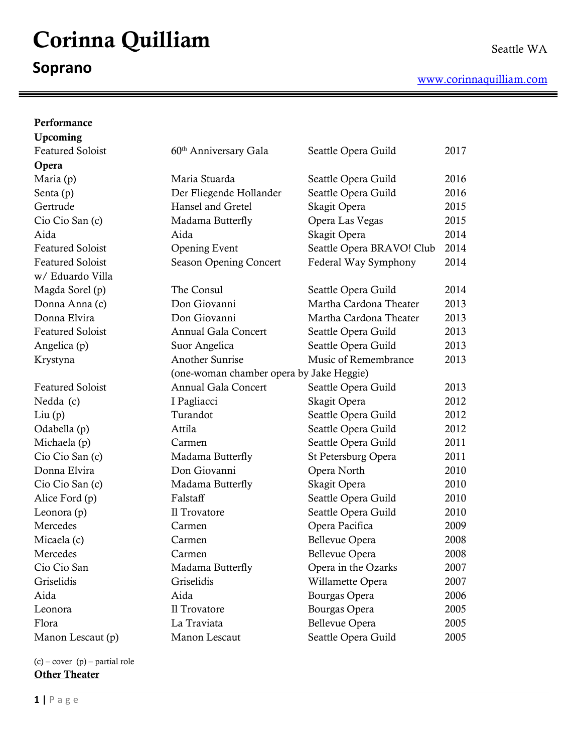# Corinna Quilliam

# **Soprano**

Ξ

| Performance             |                                          |                           |      |
|-------------------------|------------------------------------------|---------------------------|------|
| Upcoming                |                                          |                           |      |
| <b>Featured Soloist</b> | 60 <sup>th</sup> Anniversary Gala        | Seattle Opera Guild       | 2017 |
| Opera                   |                                          |                           |      |
| Maria (p)               | Maria Stuarda                            | Seattle Opera Guild       | 2016 |
| Senta (p)               | Der Fliegende Hollander                  | Seattle Opera Guild       | 2016 |
| Gertrude                | Hansel and Gretel                        | Skagit Opera              | 2015 |
| Cio Cio San (c)         | Madama Butterfly                         | Opera Las Vegas           | 2015 |
| Aida                    | Aida                                     | Skagit Opera              | 2014 |
| <b>Featured Soloist</b> | <b>Opening Event</b>                     | Seattle Opera BRAVO! Club | 2014 |
| <b>Featured Soloist</b> | Season Opening Concert                   | Federal Way Symphony      | 2014 |
| w/ Eduardo Villa        |                                          |                           |      |
| Magda Sorel (p)         | The Consul                               | Seattle Opera Guild       | 2014 |
| Donna Anna (c)          | Don Giovanni                             | Martha Cardona Theater    | 2013 |
| Donna Elvira            | Don Giovanni                             | Martha Cardona Theater    | 2013 |
| <b>Featured Soloist</b> | <b>Annual Gala Concert</b>               | Seattle Opera Guild       | 2013 |
| Angelica (p)            | Suor Angelica                            | Seattle Opera Guild       | 2013 |
| Krystyna                | <b>Another Sunrise</b>                   | Music of Remembrance      | 2013 |
|                         | (one-woman chamber opera by Jake Heggie) |                           |      |
| <b>Featured Soloist</b> | <b>Annual Gala Concert</b>               | Seattle Opera Guild       | 2013 |
| Nedda (c)               | I Pagliacci                              | Skagit Opera              | 2012 |
| Liu(p)                  | Turandot                                 | Seattle Opera Guild       | 2012 |
| Odabella (p)            | Attila                                   | Seattle Opera Guild       | 2012 |
| Michaela (p)            | Carmen                                   | Seattle Opera Guild       | 2011 |
| Cio Cio San (c)         | Madama Butterfly                         | St Petersburg Opera       | 2011 |
| Donna Elvira            | Don Giovanni                             | Opera North               | 2010 |
| Cio Cio San (c)         | Madama Butterfly                         | Skagit Opera              | 2010 |
| Alice Ford (p)          | Falstaff                                 | Seattle Opera Guild       | 2010 |
| Leonora $(p)$           | Il Trovatore                             | Seattle Opera Guild       | 2010 |
| Mercedes                | Carmen                                   | Opera Pacifica            | 2009 |
| Micaela (c)             | Carmen                                   | Bellevue Opera            | 2008 |
| Mercedes                | Carmen                                   | <b>Bellevue Opera</b>     | 2008 |
| Cio Cio San             | Madama Butterfly                         | Opera in the Ozarks       | 2007 |
| Griselidis              | Griselidis                               | Willamette Opera          | 2007 |
| Aida                    | Aida                                     | Bourgas Opera             | 2006 |
| Leonora                 | Il Trovatore                             | Bourgas Opera             | 2005 |
| Flora                   | La Traviata                              | Bellevue Opera            | 2005 |
| Manon Lescaut (p)       | Manon Lescaut                            | Seattle Opera Guild       | 2005 |

 $(c)$  – cover  $(p)$  – partial role **Other Theater**